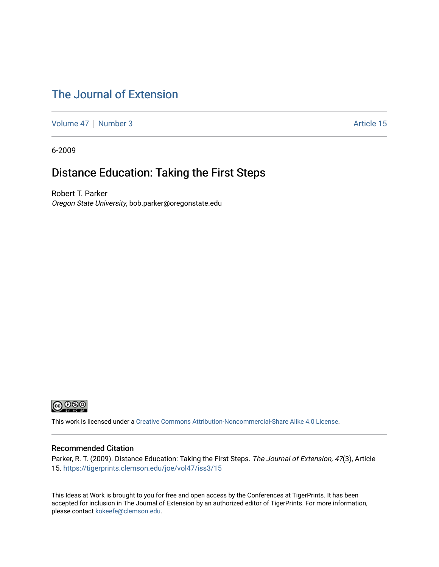### [The Journal of Extension](https://tigerprints.clemson.edu/joe)

[Volume 47](https://tigerprints.clemson.edu/joe/vol47) | [Number 3](https://tigerprints.clemson.edu/joe/vol47/iss3) Article 15

6-2009

### Distance Education: Taking the First Steps

Robert T. Parker Oregon State University, bob.parker@oregonstate.edu



This work is licensed under a [Creative Commons Attribution-Noncommercial-Share Alike 4.0 License.](https://creativecommons.org/licenses/by-nc-sa/4.0/)

#### Recommended Citation

Parker, R. T. (2009). Distance Education: Taking the First Steps. The Journal of Extension, 47(3), Article 15.<https://tigerprints.clemson.edu/joe/vol47/iss3/15>

This Ideas at Work is brought to you for free and open access by the Conferences at TigerPrints. It has been accepted for inclusion in The Journal of Extension by an authorized editor of TigerPrints. For more information, please contact [kokeefe@clemson.edu](mailto:kokeefe@clemson.edu).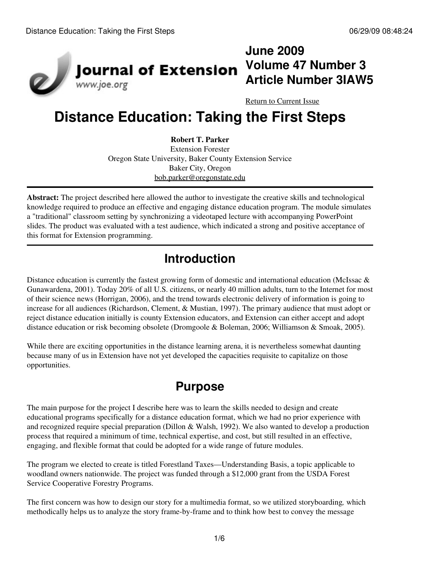

# **June 2009 Volume 47 Number 3 Article Number 3IAW5**

[Return to Current Issue](http://www.joe.org:80/joe/2009june/)

# **Distance Education: Taking the First Steps**

#### **Robert T. Parker**

Extension Forester Oregon State University, Baker County Extension Service Baker City, Oregon [bob.parker@oregonstate.edu](mailto:bob.parker@oregonstate.edu)

**Abstract:** The project described here allowed the author to investigate the creative skills and technological knowledge required to produce an effective and engaging distance education program. The module simulates a "traditional" classroom setting by synchronizing a videotaped lecture with accompanying PowerPoint slides. The product was evaluated with a test audience, which indicated a strong and positive acceptance of this format for Extension programming.

# **Introduction**

Distance education is currently the fastest growing form of domestic and international education (McIssac & Gunawardena, 2001). Today 20% of all U.S. citizens, or nearly 40 million adults, turn to the Internet for most of their science news (Horrigan, 2006), and the trend towards electronic delivery of information is going to increase for all audiences (Richardson, Clement, & Mustian, 1997). The primary audience that must adopt or reject distance education initially is county Extension educators, and Extension can either accept and adopt distance education or risk becoming obsolete (Dromgoole & Boleman, 2006; Williamson & Smoak, 2005).

While there are exciting opportunities in the distance learning arena, it is nevertheless somewhat daunting because many of us in Extension have not yet developed the capacities requisite to capitalize on those opportunities.

# **Purpose**

The main purpose for the project I describe here was to learn the skills needed to design and create educational programs specifically for a distance education format, which we had no prior experience with and recognized require special preparation (Dillon & Walsh, 1992). We also wanted to develop a production process that required a minimum of time, technical expertise, and cost, but still resulted in an effective, engaging, and flexible format that could be adopted for a wide range of future modules.

The program we elected to create is titled Forestland Taxes—Understanding Basis, a topic applicable to woodland owners nationwide. The project was funded through a \$12,000 grant from the USDA Forest Service Cooperative Forestry Programs.

The first concern was how to design our story for a multimedia format, so we utilized storyboarding*,* which methodically helps us to analyze the story frame-by-frame and to think how best to convey the message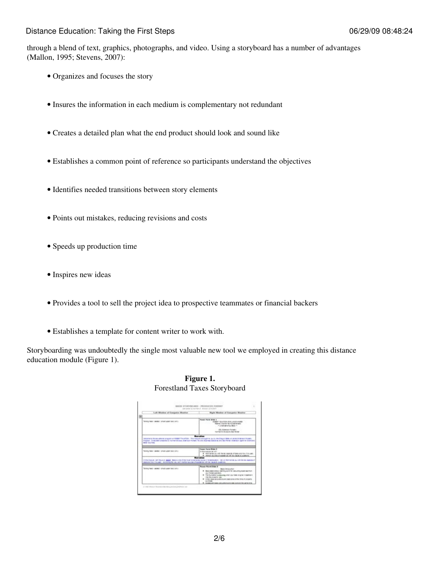through a blend of text, graphics, photographs, and video. Using a storyboard has a number of advantages (Mallon, 1995; Stevens, 2007):

- Organizes and focuses the story
- Insures the information in each medium is complementary not redundant
- Creates a detailed plan what the end product should look and sound like
- Establishes a common point of reference so participants understand the objectives
- Identifies needed transitions between story elements
- Points out mistakes, reducing revisions and costs
- Speeds up production time
- Inspires new ideas
- Provides a tool to sell the project idea to prospective teammates or financial backers
- Establishes a template for content writer to work with.

Storyboarding was undoubtedly the single most valuable new tool we employed in creating this distance education module (Figure 1).

| Lab Modes of Computer Musical                                                                | Night Missbur of Coorporter Musical                                                                                                                                        |
|----------------------------------------------------------------------------------------------|----------------------------------------------------------------------------------------------------------------------------------------------------------------------------|
| 田                                                                                            |                                                                                                                                                                            |
| foreigness seems renor user excited                                                          | French Presid Model 4<br><b>KINGST FAINTISTA AD FLANDS INSINI</b><br><b>RANGE COURS TO A GRANDWAY</b><br>- - christmas city desire                                         |
|                                                                                              | - Gilly Motervalors Assessment<br>Solidah & Stability, San Series                                                                                                          |
| <b>Brant Carol Sale</b><br>Telephone President Company of American Company President Company | Forest Parre Night 2                                                                                                                                                       |
|                                                                                              | In this most on out of a<br>A Participan state for the teachers of these printers. It is paid.                                                                             |
| description the and industry the record history purpose sharehold with the record contribute | 1 THEFT AVENUATE ARE UP TO BUILD A LARGE<br>in the mature and haust on dealer. Because over the mate holders may be completed about the foreign as well as the material of |

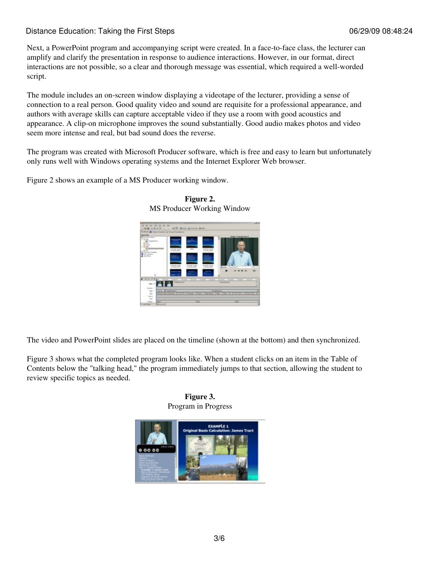Next, a PowerPoint program and accompanying script were created. In a face-to-face class, the lecturer can amplify and clarify the presentation in response to audience interactions. However, in our format, direct interactions are not possible, so a clear and thorough message was essential, which required a well-worded script.

The module includes an on-screen window displaying a videotape of the lecturer, providing a sense of connection to a real person. Good quality video and sound are requisite for a professional appearance, and authors with average skills can capture acceptable video if they use a room with good acoustics and appearance. A clip-on microphone improves the sound substantially. Good audio makes photos and video seem more intense and real, but bad sound does the reverse.

The program was created with Microsoft Producer software, which is free and easy to learn but unfortunately only runs well with Windows operating systems and the Internet Explorer Web browser.

Figure 2 shows an example of a MS Producer working window.





The video and PowerPoint slides are placed on the timeline (shown at the bottom) and then synchronized.

Figure 3 shows what the completed program looks like. When a student clicks on an item in the Table of Contents below the "talking head," the program immediately jumps to that section, allowing the student to review specific topics as needed.

#### **Figure 3.** Program in Progress

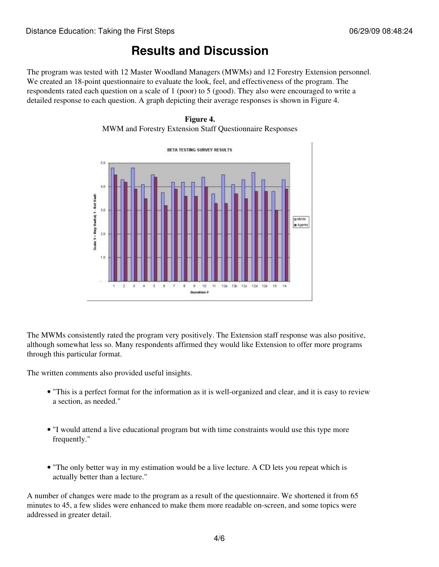# **Results and Discussion**

The program was tested with 12 Master Woodland Managers (MWMs) and 12 Forestry Extension personnel. We created an 18-point questionnaire to evaluate the look, feel, and effectiveness of the program. The respondents rated each question on a scale of 1 (poor) to 5 (good). They also were encouraged to write a detailed response to each question. A graph depicting their average responses is shown in Figure 4.





The MWMs consistently rated the program very positively. The Extension staff response was also positive, although somewhat less so. Many respondents affirmed they would like Extension to offer more programs through this particular format.

The written comments also provided useful insights.

- "This is a perfect format for the information as it is well-organized and clear, and it is easy to review a section, as needed."
- "I would attend a live educational program but with time constraints would use this type more frequently."
- "The only better way in my estimation would be a live lecture. A CD lets you repeat which is actually better than a lecture."

A number of changes were made to the program as a result of the questionnaire. We shortened it from 65 minutes to 45, a few slides were enhanced to make them more readable on-screen, and some topics were addressed in greater detail.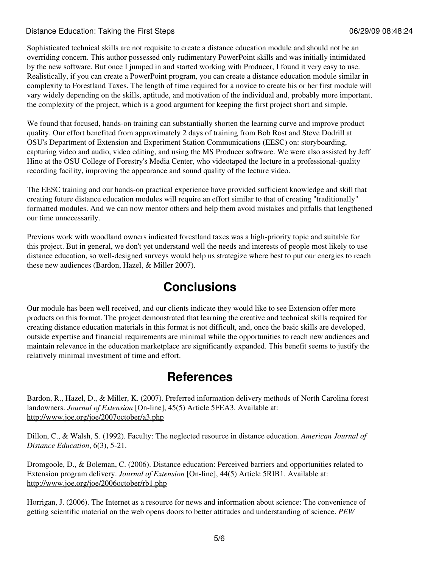Sophisticated technical skills are not requisite to create a distance education module and should not be an overriding concern. This author possessed only rudimentary PowerPoint skills and was initially intimidated by the new software. But once I jumped in and started working with Producer, I found it very easy to use. Realistically, if you can create a PowerPoint program, you can create a distance education module similar in complexity to Forestland Taxes. The length of time required for a novice to create his or her first module will vary widely depending on the skills, aptitude, and motivation of the individual and, probably more important, the complexity of the project, which is a good argument for keeping the first project short and simple.

We found that focused, hands-on training can substantially shorten the learning curve and improve product quality. Our effort benefited from approximately 2 days of training from Bob Rost and Steve Dodrill at OSU's Department of Extension and Experiment Station Communications (EESC) on: storyboarding, capturing video and audio, video editing, and using the MS Producer software. We were also assisted by Jeff Hino at the OSU College of Forestry's Media Center, who videotaped the lecture in a professional-quality recording facility, improving the appearance and sound quality of the lecture video.

The EESC training and our hands-on practical experience have provided sufficient knowledge and skill that creating future distance education modules will require an effort similar to that of creating "traditionally" formatted modules. And we can now mentor others and help them avoid mistakes and pitfalls that lengthened our time unnecessarily.

Previous work with woodland owners indicated forestland taxes was a high-priority topic and suitable for this project. But in general, we don't yet understand well the needs and interests of people most likely to use distance education, so well-designed surveys would help us strategize where best to put our energies to reach these new audiences (Bardon, Hazel, & Miller 2007).

### **Conclusions**

Our module has been well received, and our clients indicate they would like to see Extension offer more products on this format. The project demonstrated that learning the creative and technical skills required for creating distance education materials in this format is not difficult, and, once the basic skills are developed, outside expertise and financial requirements are minimal while the opportunities to reach new audiences and maintain relevance in the education marketplace are significantly expanded. This benefit seems to justify the relatively minimal investment of time and effort.

### **References**

Bardon, R., Hazel, D., & Miller, K. (2007). Preferred information delivery methods of North Carolina forest landowners. *Journal of Extension* [On-line], 45(5) Article 5FEA3. Available at: <http://www.joe.org/joe/2007october/a3.php>

Dillon, C., & Walsh, S. (1992). Faculty: The neglected resource in distance education. *American Journal of Distance Education*, 6(3), 5-21.

Dromgoole, D., & Boleman, C. (2006). Distance education: Perceived barriers and opportunities related to Extension program delivery. *Journal of Extension* [On-line], 44(5) Article 5RIB1. Available at: <http://www.joe.org/joe/2006october/rb1.php>

Horrigan, J. (2006). The Internet as a resource for news and information about science: The convenience of getting scientific material on the web opens doors to better attitudes and understanding of science. *PEW*